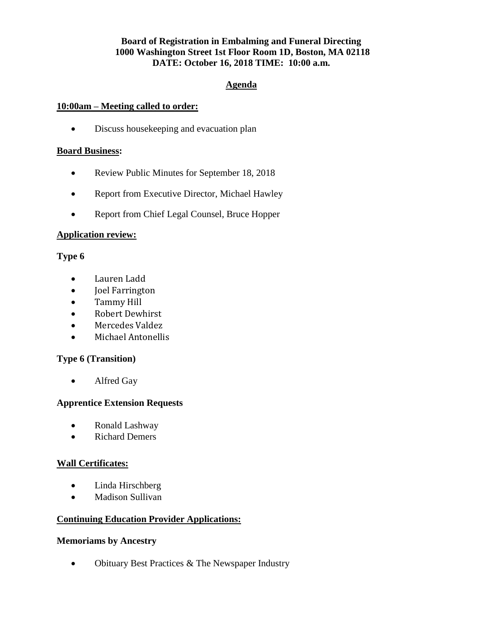# **Board of Registration in Embalming and Funeral Directing 1000 Washington Street 1st Floor Room 1D, Boston, MA 02118 DATE: October 16, 2018 TIME: 10:00 a.m.**

## **Agenda**

#### **10:00am – Meeting called to order:**

Discuss housekeeping and evacuation plan

#### **Board Business:**

- Review Public Minutes for September 18, 2018
- Report from Executive Director, Michael Hawley
- Report from Chief Legal Counsel, Bruce Hopper

#### **Application review:**

## **Type 6**

- Lauren Ladd
- Joel Farrington
- Tammy Hill
- Robert Dewhirst
- Mercedes Valdez
- Michael Antonellis

## **Type 6 (Transition)**

• Alfred Gay

## **Apprentice Extension Requests**

- Ronald Lashway
- Richard Demers

## **Wall Certificates:**

- Linda Hirschberg
- Madison Sullivan

## **Continuing Education Provider Applications:**

#### **Memoriams by Ancestry**

• Obituary Best Practices & The Newspaper Industry